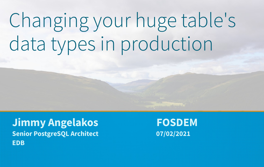# Changing your huge table's data types in production

**Jimmy Angelakos FOSDEM** Senior PostgreSQL Architect 07/02/2021 **EDB**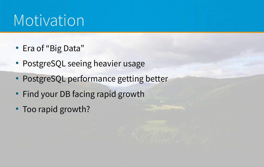## Motivation

- Era of "Big Data"
- PostgreSQL seeing heavier usage
- PostgreSQL performance getting better
- Find your DB facing rapid growth
- Too rapid growth?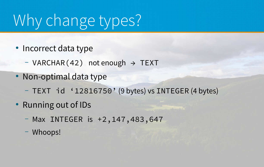## Why change types?

- Incorrect data type
	- $-VARCHAR(42)$  not enough  $\rightarrow$  TEXT
- Non-optimal data type
	- TEXT id '12816750' (9 bytes) vs INTEGER (4 bytes)
- Running out of IDs
	- Max INTEGER is +2,147,483,647
	- Whoops!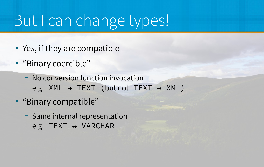## But I can change types!

- Yes, if they are compatible
- "Binary coercible"
	- No conversion function invocation e.g. XML  $\rightarrow$  TEXT (but not TEXT  $\rightarrow$  XML)
- "Binary compatible"
	- Same internal representation e.g. TEXT  $\leftrightarrow$  VARCHAR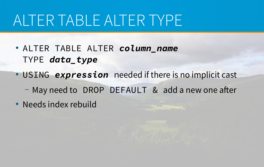## ALTER TABLE ALTER TYPE

- ALTER TABLE ALTER *column\_name* TYPE *data\_type*
- USING expression needed if there is no implicit cast
	- May need to DROP DEFAULT & add a new one after
- Needs index rebuild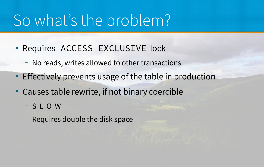## So what's the problem?

- Requires ACCESS EXCLUSIVE lock
	- No reads, writes allowed to other transactions
- Effectively prevents usage of the table in production
- Causes table rewrite, if not binary coercible
	- S L O W
	- Requires double the disk space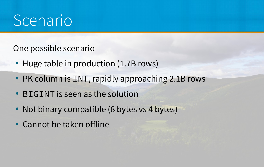## Scenario

One possible scenario

- Huge table in production (1.7B rows)
- PK column is INT, rapidly approaching 2.1B rows
- BIGINT is seen as the solution
- Not binary compatible (8 bytes vs 4 bytes)
- Cannot be taken offline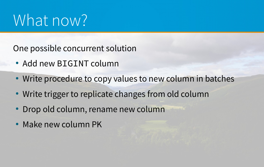## What now?

One possible concurrent solution

- Add new BIGINT column
- Write procedure to copy values to new column in batches
- Write trigger to replicate changes from old column
- Drop old column, rename new column
- Make new column PK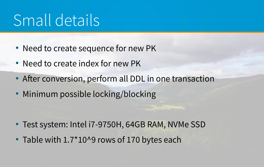## Small details

- Need to create sequence for new PK
- Need to create index for new PK
- After conversion, perform all DDL in one transaction
- Minimum possible locking/blocking

- Test system: Intel i7-9750H, 64GB RAM, NVMe SSD
- Table with 1.7\*10^9 rows of 170 bytes each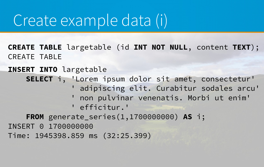## Create example data (i)

**CREATE TABLE** largetable (id **INT NOT NULL**, content **TEXT**); CREATE TABLE

**INSERT INTO** largetable **SELECT** i, 'Lorem ipsum dolor sit amet, consectetur' ' adipiscing elit. Curabitur sodales arcu' ' non pulvinar venenatis. Morbi ut enim' ' efficitur.' **FROM** generate\_series(1,1700000000) **AS** i; INSERT 0 1700000000 Time: 1945398.859 ms (32:25.399)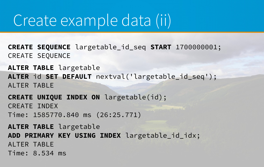#### Create example data (ii)

**CREATE SEQUENCE** largetable\_id\_seq **START** 1700000001; CREATE SEQUENCE

**ALTER TABLE** largetable **ALTER** id **SET DEFAULT** nextval('largetable\_id\_seq'); ALTER TABLE

**CREATE UNIQUE INDEX ON** largetable(id); CREATE INDEX Time: 1585770.840 ms (26:25.771)

**ALTER TABLE** largetable **ADD PRIMARY KEY USING INDEX** largetable\_id\_idx; ALTER TABLE Time: 8.534 ms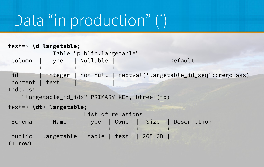## Data "in production" (i)

```
test=> \d largetable;
             Table "public.largetable"
Column | Type | Nullable | Default
          -----------------------------
 id | integer | not null | nextval('largetable_id_seq'::regclass)
content | text | |
Indexes:
    "largetable_id_idx" PRIMARY KEY, btree (id)
test=> \dt+ largetable;
                      List of relations
Schema | Name | Type | Owner | Size | Description
   --------+------------+-------+-------+--------+-------------
 public | largetable | table | test | 265 GB | 
(1 row)
```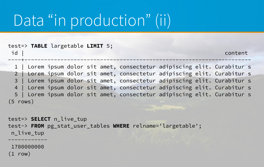## Data "in production" (ii)

|            | test=> TABLE largetable LIMIT 5; |  |  |                                                                          |  |         |  |
|------------|----------------------------------|--|--|--------------------------------------------------------------------------|--|---------|--|
| id         |                                  |  |  |                                                                          |  | content |  |
|            |                                  |  |  | 1   Lorem ipsum dolor sit amet, consectetur adipiscing elit. Curabitur s |  |         |  |
|            |                                  |  |  | 2   Lorem ipsum dolor sit amet, consectetur adipiscing elit. Curabitur s |  |         |  |
|            |                                  |  |  | 3   Lorem ipsum dolor sit amet, consectetur adipiscing elit. Curabitur s |  |         |  |
|            |                                  |  |  | 4   Lorem ipsum dolor sit amet, consectetur adipiscing elit. Curabitur s |  |         |  |
|            |                                  |  |  | 5   Lorem ipsum dolor sit amet, consectetur adipiscing elit. Curabitur s |  |         |  |
| $(5$ rows) |                                  |  |  |                                                                          |  |         |  |
|            |                                  |  |  |                                                                          |  |         |  |

test=> **SELECT** n\_live\_tup test-> **FROM** pg\_stat\_user\_tables **WHERE** relname='largetable'; n\_live\_tup

 1700000000 (1 row)

------------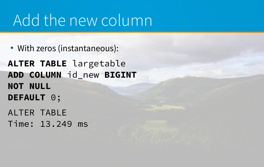## Add the new column

• With zeros (instantaneous):

**ALTER TABLE** largetable **ADD COLUMN** id\_new **BIGINT NOT NULL DEFAULT** 0; ALTER TABLE Time: 13.249 ms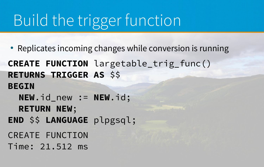## Build the trigger function

- Replicates incoming changes while conversion is running
- **CREATE FUNCTION** largetable\_trig\_func() **RETURNS TRIGGER AS** \$\$
- **BEGIN**
	- **NEW**.id\_new := **NEW**.id;
	- **RETURN NEW**;
- **END** \$\$ **LANGUAGE** plpgsql;
- CREATE FUNCTION
- Time: 21.512 ms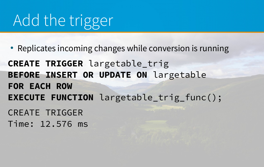## Add the trigger

- Replicates incoming changes while conversion is running
- **CREATE TRIGGER** largetable\_trig **BEFORE INSERT OR UPDATE ON** largetable **FOR EACH ROW EXECUTE FUNCTION** largetable\_trig\_func(); CREATE TRIGGER Time: 12.576 ms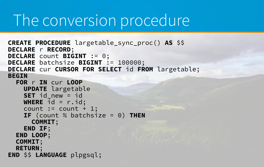#### The conversion procedure

```
CREATE PROCEDURE largetable_sync_proc() AS $$
DECLARE r RECORD;
DECLARE count BIGINT := 0;
DECLARE batchsize BIGINT := 100000;
DECLARE cur CURSOR FOR SELECT id FROM largetable;
BEGIN
   FOR r IN cur LOOP
     UPDATE largetable
     SET id_new = id
    WHERE \overline{id} = r \cdot id;
    count := count + 1;
     IF (count % batchsize = 0) THEN
     COMMIT;
     END IF;
   END LOOP;
   COMMIT;
   RETURN;
END $$ LANGUAGE plpgsql;
```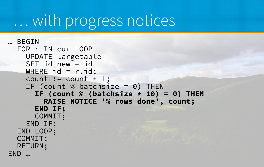## … with progress notices

```
… BEGIN
   FOR r IN cur LOOP
     UPDATE largetable
     SET id_new = id
    WHERE id = r.id;count := count + 1;
     IF (count % batchsize = 0) THEN
       IF (count % (batchsize * 10) = 0) THEN
         RAISE NOTICE '% rows done', count;
       END IF;
       COMMIT;
     END IF;
   END LOOP;
   COMMIT;
   RETURN;
END …
```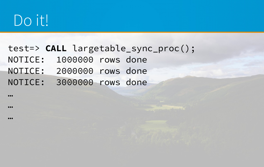## Do it!

#### test=> **CALL** largetable\_sync\_proc(); NOTICE: 1000000 rows done

- 
- NOTICE: 2000000 rows done
- NOTICE: 3000000 rows done

…

 $...$ 

…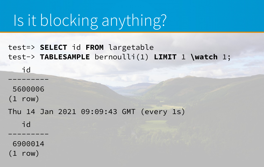## Is it blocking anything?

#### test=> **SELECT** id **FROM** largetable test-> **TABLESAMPLE** bernoulli(1) **LIMIT** 1 **\watch** 1;

| 5600006 |  |                                         |  |  |
|---------|--|-----------------------------------------|--|--|
| (1 row) |  |                                         |  |  |
|         |  | Thu 14 Jan 2021 09:09:43 GMT (every 1s) |  |  |
| id      |  |                                         |  |  |
|         |  |                                         |  |  |
| 6900014 |  |                                         |  |  |

row)

 $\mathbf{i}$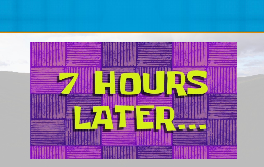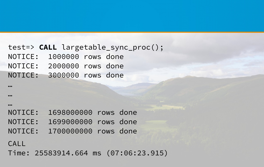test=> **CALL** largetable\_sync\_proc(); NOTICE: 1000000 rows done NOTICE: 2000000 rows done NOTICE: 3000000 rows done

NOTICE: 1698000000 rows done

- NOTICE: 1699000000 rows done
- NOTICE: 1700000000 rows done

#### CALL

…

…

 $...$ 

Time: 25583914.664 ms (07:06:23.915)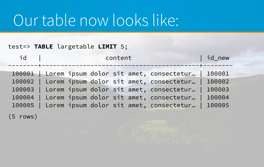#### Our table now looks like:

#### test=> **TABLE** largetable **LIMIT** 5;

| id     | content                                                                                                                                                                                                                                                   | id_new                                         |
|--------|-----------------------------------------------------------------------------------------------------------------------------------------------------------------------------------------------------------------------------------------------------------|------------------------------------------------|
| 100004 | 100001 Lorem ipsum dolor sit amet, consectetur<br>100002   Lorem ipsum dolor sit amet, consectetur  <br>100003   Lorem ipsum dolor sit amet, consectetur<br>  Lorem ipsum dolor sit amet, consectetur<br>100005   Lorem ipsum dolor sit amet, consectetur | 100001<br>100002<br>100003<br>100004<br>100005 |

(5 rows)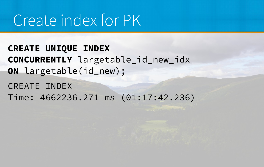## Create index for PK

**CREATE UNIQUE INDEX CONCURRENTLY** largetable\_id\_new\_idx **ON** largetable(id\_new);

CREATE INDEX Time: 4662236.271 ms (01:17:42.236)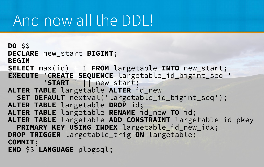## And now all the DDL!

```
DO $$
DECLARE new_start BIGINT;
BEGIN
SELECT max(id) + 1 FROM largetable INTO new_start;
EXECUTE 'CREATE SEQUENCE largetable_id_bigint_seq '
         'START ' || new_start;
ALTER TABLE largetable ALTER id_new 
   SET DEFAULT nextval('largetable_id_bigint_seq');
ALTER TABLE largetable DROP id;
ALTER TABLE largetable RENAME id_new TO id;
ALTER TABLE largetable ADD CONSTRAINT largetable_id_pkey 
   PRIMARY KEY USING INDEX largetable_id_new_idx;
DROP TRIGGER largetable_trig ON largetable;
COMMIT;
END $$ LANGUAGE plpgsql;
```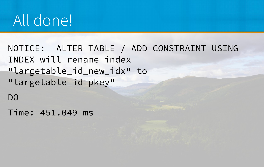## All done!

NOTICE: ALTER TABLE / ADD CONSTRAINT USING INDEX will rename index "largetable\_id\_new\_idx" to "largetable\_id\_pkey"

DO

Time: 451.049 ms